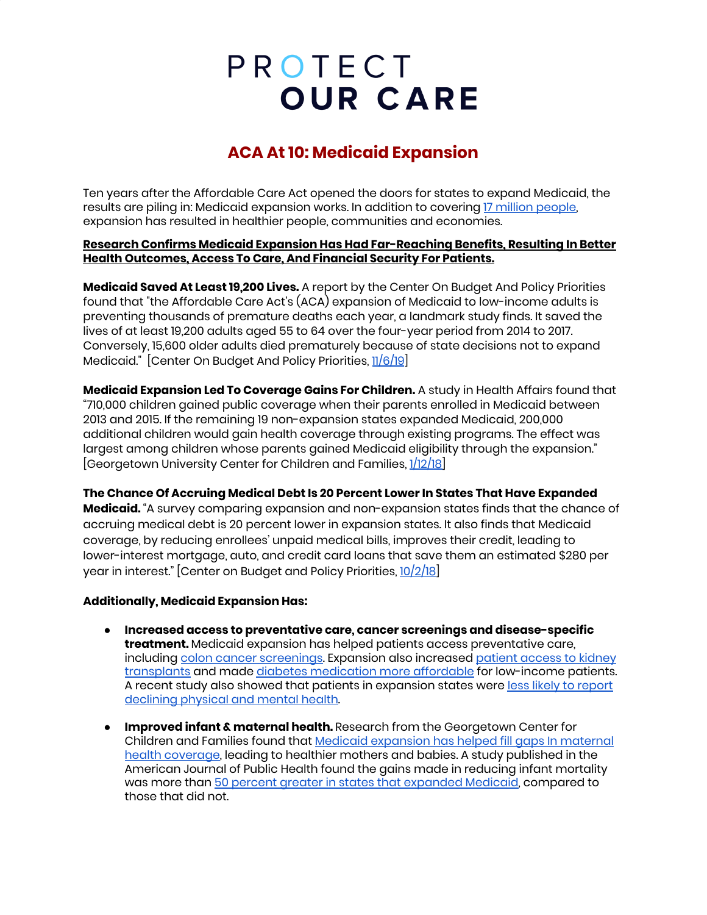# PROTECT **OUR CARE**

## **ACA At 10: Medicaid Expansion**

Ten years after the Affordable Care Act opened the doors for states to expand Medicaid, the results are piling in: Medicaid expansion works. In addition to covering 17 million [people,](https://www.kff.org/health-reform/state-indicator/medicaid-expansion-enrollment/?currentTimeframe=0&sortModel=%7B%22colId%22:%22Location%22,%22sort%22:%22asc%22%7D) expansion has resulted in healthier people, communities and economies.

### **Research Confirms Medicaid Expansion Has Had Far-Reaching Benefits, Resulting In Better Health Outcomes, Access To Care, And Financial Security For Patients.**

**Medicaid Saved At Least 19,200 Lives.** A report by the Center On Budget And Policy Priorities found that "the Affordable Care Act's (ACA) expansion of Medicaid to low-income adults is preventing thousands of premature deaths each year, a landmark study finds. It saved the lives of at least 19,200 adults aged 55 to 64 over the four-year period from 2014 to 2017. Conversely, 15,600 older adults died prematurely because of state decisions not to expand Medicaid." [Center On Budget And Policy Priorities, [11/6/19](https://www.cbpp.org/research/health/medicaid-expansion-has-saved-at-least-19000-lives-new-research-finds)]

**Medicaid Expansion Led To Coverage Gains For Children.** A study in Health Affairs found that "710,000 children gained public coverage when their parents enrolled in Medicaid between 2013 and 2015. If the remaining 19 non-expansion states expanded Medicaid, 200,000 additional children would gain health coverage through existing programs. The effect was largest among children whose parents gained Medicaid eligibility through the expansion." [Georgetown University Center for Children and Families, [1/12/18\]](https://ccf.georgetown.edu/2018/01/12/research-update-how-medicaid-coverage-for-parents-benefits-children/)

**The Chance Of Accruing Medical Debt Is 20 Percent Lower In States That Have Expanded Medicaid.** "A survey comparing expansion and non-expansion states finds that the chance of accruing medical debt is 20 percent lower in expansion states. It also finds that Medicaid coverage, by reducing enrollees' unpaid medical bills, improves their credit, leading to lower-interest mortgage, auto, and credit card loans that save them an estimated \$280 per year in interest." [Center on Budget and Policy Priorities, [10/2/18\]](https://www.cbpp.org/research/health/chart-book-the-far-reaching-benefits-of-the-affordable-care-acts-medicaid)

### **Additionally, Medicaid Expansion Has:**

- **● Increased access to preventative care, cancer screenings and disease-specific treatment.** Medicaid expansion has helped patients access preventative care, including colon cancer [screenings.](https://www.webmd.com/colorectal-cancer/news/20190524/colon-cancer-screenings-rise-when-medicaid-arrives) Expansion also increased [patient](https://drexel.edu/now/archive/2018/June/Medicaid-Expansion-Kidney-Transplants/) access to kidney [transplants](https://drexel.edu/now/archive/2018/June/Medicaid-Expansion-Kidney-Transplants/) and made diabetes [medication](https://www.washingtonpost.com/national/health-science/medicaid-expansion-making-diabetes-meds-more-accessible-to-poor-study-shows/2018/08/06/b8a1316c-99bb-11e8-a8d8-9b4c13286d6b_story.html) more affordable for low-income patients. A recent study also showed that patients in expansion states were less likely to [report](https://www.tennessean.com/story/news/health/2020/01/06/medicaid-expansion-vanderbilt-harvard-study-prevents-declining-health-tennessee-access-insurance/2807227001/) [declining](https://www.tennessean.com/story/news/health/2020/01/06/medicaid-expansion-vanderbilt-harvard-study-prevents-declining-health-tennessee-access-insurance/2807227001/) physical and mental health.
- **● Improved infant & maternal health.** Research from the Georgetown Center for Children and Families found that Medicaid [expansion](https://ccf.georgetown.edu/wp-content/uploads/2019/05/Maternal-Health_FINAL-1.pdf) has helped fill gaps In maternal health [coverage](https://ccf.georgetown.edu/wp-content/uploads/2019/05/Maternal-Health_FINAL-1.pdf), leading to healthier mothers and babies. A study published in the American Journal of Public Health found the gains made in reducing infant mortality was more than 50 percent greater in states that [expanded](https://www.ncbi.nlm.nih.gov/pmc/articles/PMC5844390/) Medicaid, compared to those that did not.